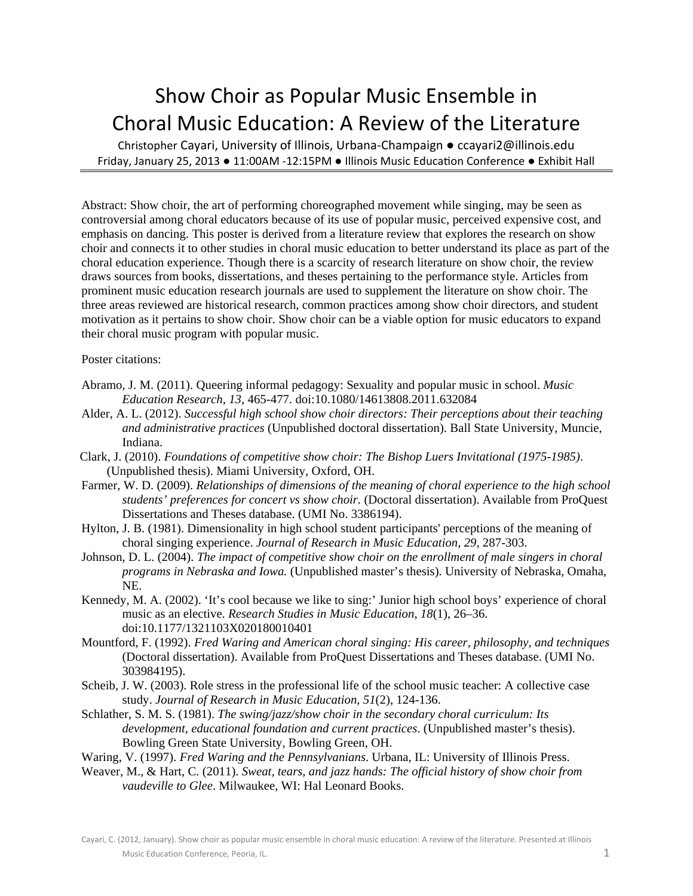## Show Choir as Popular Music Ensemble in Choral Music Education: A Review of the Literature

Christopher Cayari, University of Illinois, Urbana‐Champaign ● ccayari2@illinois.edu Friday, January 25, 2013 . 11:00AM -12:15PM . Illinois Music Education Conference . Exhibit Hall

Abstract: Show choir, the art of performing choreographed movement while singing, may be seen as controversial among choral educators because of its use of popular music, perceived expensive cost, and emphasis on dancing. This poster is derived from a literature review that explores the research on show choir and connects it to other studies in choral music education to better understand its place as part of the choral education experience. Though there is a scarcity of research literature on show choir, the review draws sources from books, dissertations, and theses pertaining to the performance style. Articles from prominent music education research journals are used to supplement the literature on show choir. The three areas reviewed are historical research, common practices among show choir directors, and student motivation as it pertains to show choir. Show choir can be a viable option for music educators to expand their choral music program with popular music.

Poster citations:

- Abramo, J. M. (2011). Queering informal pedagogy: Sexuality and popular music in school. *Music Education Research, 13*, 465-477. doi:10.1080/14613808.2011.632084
- Alder, A. L. (2012). *Successful high school show choir directors: Their perceptions about their teaching and administrative practices* (Unpublished doctoral dissertation). Ball State University, Muncie, Indiana.
- Clark, J. (2010). *Foundations of competitive show choir: The Bishop Luers Invitational (1975-1985)*. (Unpublished thesis). Miami University, Oxford, OH.
- Farmer, W. D. (2009). *Relationships of dimensions of the meaning of choral experience to the high school students' preferences for concert vs show choir.* (Doctoral dissertation). Available from ProQuest Dissertations and Theses database. (UMI No. 3386194).
- Hylton, J. B. (1981). Dimensionality in high school student participants' perceptions of the meaning of choral singing experience. *Journal of Research in Music Education, 29,* 287-303.
- Johnson, D. L. (2004). *The impact of competitive show choir on the enrollment of male singers in choral programs in Nebraska and Iowa.* (Unpublished master's thesis). University of Nebraska, Omaha, NE.
- Kennedy, M. A. (2002). 'It's cool because we like to sing:' Junior high school boys' experience of choral music as an elective. *Research Studies in Music Education*, *18*(1), 26–36. doi:10.1177/1321103X020180010401
- Mountford, F. (1992). *Fred Waring and American choral singing: His career, philosophy, and techniques*  (Doctoral dissertation). Available from ProQuest Dissertations and Theses database. (UMI No. 303984195).
- Scheib, J. W. (2003). Role stress in the professional life of the school music teacher: A collective case study. *Journal of Research in Music Education, 51*(2), 124-136.
- Schlather, S. M. S. (1981). *The swing/jazz/show choir in the secondary choral curriculum: Its development, educational foundation and current practices*. (Unpublished master's thesis). Bowling Green State University, Bowling Green, OH.

Waring, V. (1997). *Fred Waring and the Pennsylvanians*. Urbana, IL: University of Illinois Press.

Weaver, M., & Hart, C. (2011). *Sweat, tears, and jazz hands: The official history of show choir from vaudeville to Glee*. Milwaukee, WI: Hal Leonard Books.